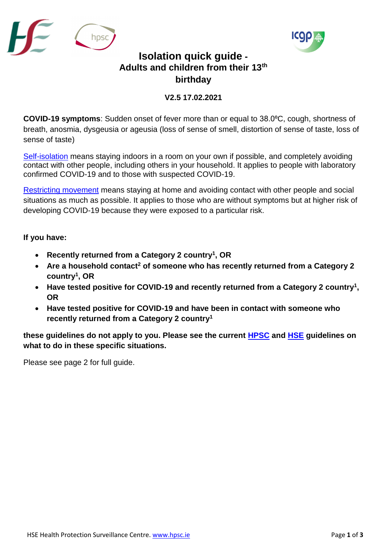



## **Isolation quick guide - Adults and children from their 13th birthday**

## **V2.5 17.02.2021**

**COVID-19 symptoms**: Sudden onset of fever more than or equal to 38.0⁰C, cough, shortness of breath, anosmia, dysgeusia or ageusia (loss of sense of smell, distortion of sense of taste, loss of sense of taste)

[Self-isolation](https://www2.hse.ie/conditions/coronavirus/managing-coronavirus-at-home/self-isolation.html) means staying indoors in a room on your own if possible, and completely avoiding contact with other people, including others in your household. It applies to people with laboratory confirmed COVID-19 and to those with suspected COVID-19.

[Restricting movement](https://www2.hse.ie/conditions/coronavirus/managing-coronavirus-at-home/if-you-live-with-someone-who-has-coronavirus.html) means staying at home and avoiding contact with other people and social situations as much as possible. It applies to those who are without symptoms but at higher risk of developing COVID-19 because they were exposed to a particular risk.

## **If you have:**

- **Recently returned from a Category 2 country<sup>1</sup> , OR**
- **Are a household contact<sup>2</sup> of someone who has recently returned from a Category 2 country<sup>1</sup> , OR**
- **Have tested positive for COVID-19 and recently returned from a Category 2 country<sup>1</sup> , OR**
- **Have tested positive for COVID-19 and have been in contact with someone who recently returned from a Category 2 country<sup>1</sup>**

**these guidelines do not apply to you. Please see the current [HPSC](https://www.hpsc.ie/a-z/respiratory/coronavirus/novelcoronavirus/sars-cov-2variantsofconcern/) and [HSE](https://www2.hse.ie/conditions/coronavirus/recently-arrived-into-ireland.html) guidelines on what to do in these specific situations.**

Please see page 2 for full guide.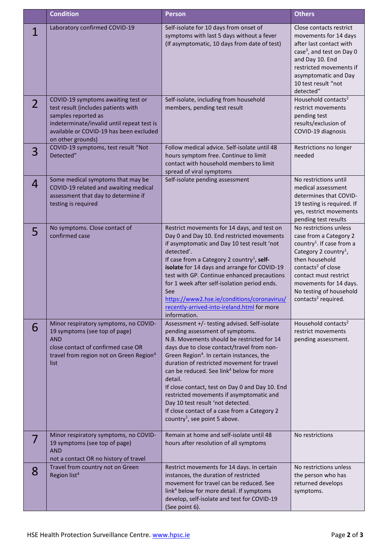|                | <b>Condition</b>                                                                                                                                                                                               | <b>Person</b>                                                                                                                                                                                                                                                                                                                                                                                                                                                                                                                                                                          | <b>Others</b>                                                                                                                                                                                                                                                                                       |
|----------------|----------------------------------------------------------------------------------------------------------------------------------------------------------------------------------------------------------------|----------------------------------------------------------------------------------------------------------------------------------------------------------------------------------------------------------------------------------------------------------------------------------------------------------------------------------------------------------------------------------------------------------------------------------------------------------------------------------------------------------------------------------------------------------------------------------------|-----------------------------------------------------------------------------------------------------------------------------------------------------------------------------------------------------------------------------------------------------------------------------------------------------|
|                | Laboratory confirmed COVID-19                                                                                                                                                                                  | Self-isolate for 10 days from onset of<br>symptoms with last 5 days without a fever<br>(If asymptomatic, 10 days from date of test)                                                                                                                                                                                                                                                                                                                                                                                                                                                    | Close contacts restrict<br>movements for 14 days<br>after last contact with<br>case <sup>3</sup> , and test on Day 0<br>and Day 10. End<br>restricted movements if<br>asymptomatic and Day<br>10 test result "not<br>detected"                                                                      |
| $\overline{2}$ | COVID-19 symptoms awaiting test or<br>test result (includes patients with<br>samples reported as<br>indeterminate/invalid until repeat test is<br>available or COVID-19 has been excluded<br>on other grounds) | Self-isolate, including from household<br>members, pending test result                                                                                                                                                                                                                                                                                                                                                                                                                                                                                                                 | Household contacts <sup>2</sup><br>restrict movements<br>pending test<br>results/exclusion of<br>COVID-19 diagnosis                                                                                                                                                                                 |
| 3              | COVID-19 symptoms, test result "Not<br>Detected"                                                                                                                                                               | Follow medical advice. Self-isolate until 48<br>hours symptom free. Continue to limit<br>contact with household members to limit<br>spread of viral symptoms                                                                                                                                                                                                                                                                                                                                                                                                                           | Restrictions no longer<br>needed                                                                                                                                                                                                                                                                    |
| 4              | Some medical symptoms that may be<br>COVID-19 related and awaiting medical<br>assessment that day to determine if<br>testing is required                                                                       | Self-isolate pending assessment                                                                                                                                                                                                                                                                                                                                                                                                                                                                                                                                                        | No restrictions until<br>medical assessment<br>determines that COVID-<br>19 testing is required. If<br>yes, restrict movements<br>pending test results                                                                                                                                              |
| 5              | No symptoms. Close contact of<br>confirmed case                                                                                                                                                                | Restrict movements for 14 days, and test on<br>Day 0 and Day 10. End restricted movements<br>if asymptomatic and Day 10 test result 'not<br>detected'.<br>If case from a Category 2 country <sup>1</sup> , self-<br>isolate for 14 days and arrange for COVID-19<br>test with GP. Continue enhanced precautions<br>for 1 week after self-isolation period ends.<br>See<br>https://www2.hse.ie/conditions/coronavirus/<br>recently-arrived-into-ireland.html for more<br>information.                                                                                                   | No restrictions unless<br>case from a Category 2<br>country <sup>1</sup> . If case from a<br>Category 2 country <sup>1</sup> ,<br>then household<br>contacts <sup>2</sup> of close<br>contact must restrict<br>movements for 14 days.<br>No testing of household<br>contacts <sup>2</sup> required. |
| 6              | Minor respiratory symptoms, no COVID-<br>19 symptoms (see top of page)<br><b>AND</b><br>close contact of confirmed case OR<br>travel from region not on Green Region <sup>4</sup><br>list                      | Assessment +/- testing advised. Self-isolate<br>pending assessment of symptoms.<br>N.B. Movements should be restricted for 14<br>days due to close contact/travel from non-<br>Green Region <sup>4</sup> . In certain instances, the<br>duration of restricted movement for travel<br>can be reduced. See link <sup>4</sup> below for more<br>detail.<br>If close contact, test on Day 0 and Day 10. End<br>restricted movements if asymptomatic and<br>Day 10 test result 'not detected.<br>If close contact of a case from a Category 2<br>country <sup>1</sup> , see point 5 above. | Household contacts <sup>2</sup><br>restrict movements<br>pending assessment.                                                                                                                                                                                                                        |
|                | Minor respiratory symptoms, no COVID-<br>19 symptoms (see top of page)<br><b>AND</b><br>not a contact OR no history of travel                                                                                  | Remain at home and self-isolate until 48<br>hours after resolution of all symptoms                                                                                                                                                                                                                                                                                                                                                                                                                                                                                                     | No restrictions                                                                                                                                                                                                                                                                                     |
| 8              | Travel from country not on Green<br>Region list <sup>4</sup>                                                                                                                                                   | Restrict movements for 14 days. In certain<br>instances, the duration of restricted<br>movement for travel can be reduced. See<br>link <sup>4</sup> below for more detail. If symptoms<br>develop, self-isolate and test for COVID-19<br>(See point 6).                                                                                                                                                                                                                                                                                                                                | No restrictions unless<br>the person who has<br>returned develops<br>symptoms.                                                                                                                                                                                                                      |